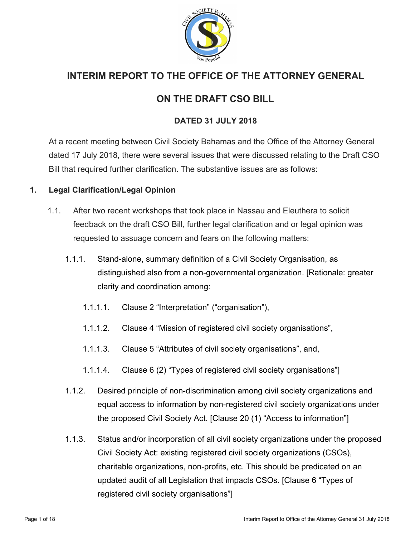

# **INTERIM REPORT TO THE OFFICE OF THE ATTORNEY GENERAL**

# **ON THE DRAFT CSO BILL**

# **DATED 31 JULY 2018**

At a recent meeting between Civil Society Bahamas and the Office of the Attorney General dated 17 July 2018, there were several issues that were discussed relating to the Draft CSO Bill that required further clarification. The substantive issues are as follows:

# **1. Legal Clarification/Legal Opinion**

- 1.1. After two recent workshops that took place in Nassau and Eleuthera to solicit feedback on the draft CSO Bill, further legal clarification and or legal opinion was requested to assuage concern and fears on the following matters:
	- 1.1.1. Stand-alone, summary definition of a Civil Society Organisation, as distinguished also from a non-governmental organization. [Rationale: greater clarity and coordination among:
		- 1.1.1.1. Clause 2 "Interpretation" ("organisation"),
		- 1.1.1.2. Clause 4 "Mission of registered civil society organisations",
		- 1.1.1.3. Clause 5 "Attributes of civil society organisations", and,
		- 1.1.1.4. Clause 6 (2) "Types of registered civil society organisations"]
	- 1.1.2. Desired principle of non-discrimination among civil society organizations and equal access to information by non-registered civil society organizations under the proposed Civil Society Act. [Clause 20 (1) "Access to information"]
	- 1.1.3. Status and/or incorporation of all civil society organizations under the proposed Civil Society Act: existing registered civil society organizations (CSOs), charitable organizations, non-profits, etc. This should be predicated on an updated audit of all Legislation that impacts CSOs. [Clause 6 "Types of registered civil society organisations"]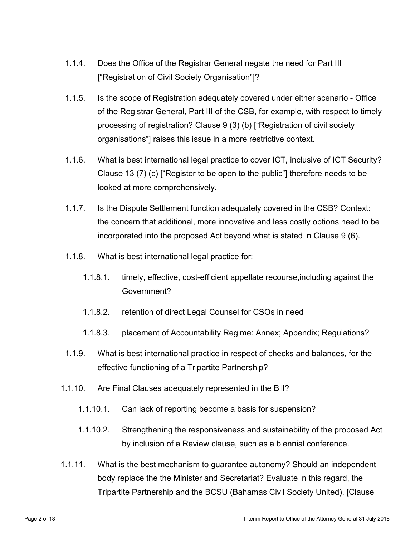- 1.1.4. Does the Office of the Registrar General negate the need for Part III ["Registration of Civil Society Organisation"]?
- 1.1.5. Is the scope of Registration adequately covered under either scenario Office of the Registrar General, Part III of the CSB, for example, with respect to timely processing of registration? Clause 9 (3) (b) ["Registration of civil society organisations"] raises this issue in a more restrictive context.
- 1.1.6. What is best international legal practice to cover ICT, inclusive of ICT Security? Clause 13 (7) (c) ["Register to be open to the public"] therefore needs to be looked at more comprehensively.
- 1.1.7. Is the Dispute Settlement function adequately covered in the CSB? Context: the concern that additional, more innovative and less costly options need to be incorporated into the proposed Act beyond what is stated in Clause 9 (6).
- 1.1.8. What is best international legal practice for:
	- 1.1.8.1. timely, effective, cost-efficient appellate recourse,including against the Government?
	- 1.1.8.2. retention of direct Legal Counsel for CSOs in need
	- 1.1.8.3. placement of Accountability Regime: Annex; Appendix; Regulations?
- 1.1.9. What is best international practice in respect of checks and balances, for the effective functioning of a Tripartite Partnership?
- 1.1.10. Are Final Clauses adequately represented in the Bill?
	- 1.1.10.1. Can lack of reporting become a basis for suspension?
	- 1.1.10.2. Strengthening the responsiveness and sustainability of the proposed Act by inclusion of a Review clause, such as a biennial conference.
- 1.1.11. What is the best mechanism to guarantee autonomy? Should an independent body replace the the Minister and Secretariat? Evaluate in this regard, the Tripartite Partnership and the BCSU (Bahamas Civil Society United). [Clause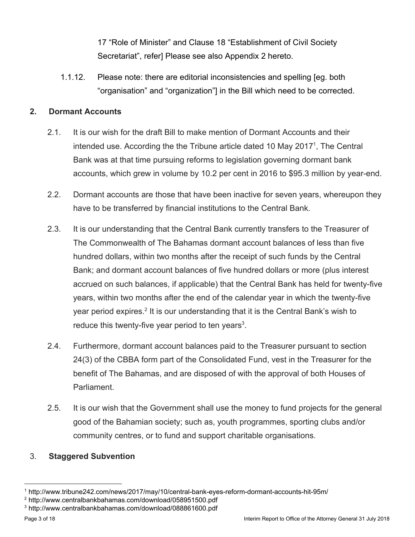17 "Role of Minister" and Clause 18 "Establishment of Civil Society Secretariat", refer] Please see also Appendix 2 hereto.

1.1.12. Please note: there are editorial inconsistencies and spelling [eg. both "organisation" and "organization"] in the Bill which need to be corrected.

## **2. Dormant Accounts**

- 2.1. It is our wish for the draft Bill to make mention of Dormant Accounts and their intended use. According the the Tribune article dated 10 May 2017<sup>1</sup>, The Central Bank was at that time pursuing reforms to legislation governing dormant bank accounts, which grew in volume by 10.2 per cent in 2016 to \$95.3 million by year-end.
- 2.2. Dormant accounts are those that have been inactive for seven years, whereupon they have to be transferred by financial institutions to the Central Bank.
- 2.3. It is our understanding that the Central Bank currently transfers to the Treasurer of The Commonwealth of The Bahamas dormant account balances of less than five hundred dollars, within two months after the receipt of such funds by the Central Bank; and dormant account balances of five hundred dollars or more (plus interest accrued on such balances, if applicable) that the Central Bank has held for twenty-five years, within two months after the end of the calendar year in which the twenty-five year period expires.<sup>2</sup> It is our understanding that it is the Central Bank's wish to reduce this twenty-five year period to ten years<sup>3</sup>.
- 2.4. Furthermore, dormant account balances paid to the Treasurer pursuant to section 24(3) of the CBBA form part of the Consolidated Fund, vest in the Treasurer for the benefit of The Bahamas, and are disposed of with the approval of both Houses of Parliament.
- 2.5. It is our wish that the Government shall use the money to fund projects for the general good of the Bahamian society; such as, youth programmes, sporting clubs and/or community centres, or to fund and support charitable organisations.

### 3. **Staggered Subvention**

<sup>1</sup> http://www.tribune242.com/news/2017/may/10/central-bank-eyes-reform-dormant-accounts-hit-95m/

<sup>2</sup> http://www.centralbankbahamas.com/download/058951500.pdf

<sup>3</sup> http://www.centralbankbahamas.com/download/088861600.pdf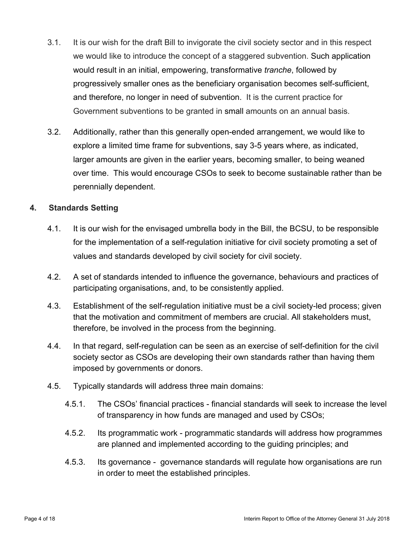- 3.1. It is our wish for the draft Bill to invigorate the civil society sector and in this respect we would like to introduce the concept of a staggered subvention. Such application would result in an initial, empowering, transformative *tranche*, followed by progressively smaller ones as the beneficiary organisation becomes self-sufficient, and therefore, no longer in need of subvention. It is the current practice for Government subventions to be granted in small amounts on an annual basis.
- 3.2. Additionally, rather than this generally open-ended arrangement, we would like to explore a limited time frame for subventions, say 3-5 years where, as indicated, larger amounts are given in the earlier years, becoming smaller, to being weaned over time. This would encourage CSOs to seek to become sustainable rather than be perennially dependent.

### **4. Standards Setting**

- 4.1. It is our wish for the envisaged umbrella body in the Bill, the BCSU, to be responsible for the implementation of a self-regulation initiative for civil society promoting a set of values and standards developed by civil society for civil society.
- 4.2. A set of standards intended to influence the governance, behaviours and practices of participating organisations, and, to be consistently applied.
- 4.3. Establishment of the self-regulation initiative must be a civil society-led process; given that the motivation and commitment of members are crucial. All stakeholders must, therefore, be involved in the process from the beginning.
- 4.4. In that regard, self-regulation can be seen as an exercise of self-definition for the civil society sector as CSOs are developing their own standards rather than having them imposed by governments or donors.
- 4.5. Typically standards will address three main domains:
	- 4.5.1. The CSOs' financial practices financial standards will seek to increase the level of transparency in how funds are managed and used by CSOs;
	- 4.5.2. Its programmatic work programmatic standards will address how programmes are planned and implemented according to the guiding principles; and
	- 4.5.3. Its governance governance standards will regulate how organisations are run in order to meet the established principles.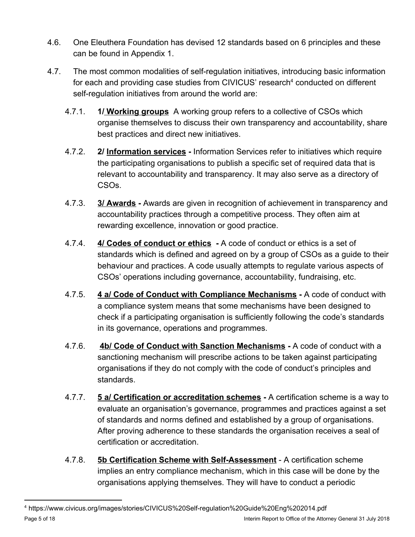- 4.6. One Eleuthera Foundation has devised 12 standards based on 6 principles and these can be found in Appendix 1.
- 4.7. The most common modalities of self-regulation initiatives, introducing basic information for each and providing case studies from CIVICUS' research<sup>4</sup> conducted on different self-regulation initiatives from around the world are:
	- 4.7.1. **1/ Working groups** A working group refers to a collective of CSOs which organise themselves to discuss their own transparency and accountability, share best practices and direct new initiatives.
	- 4.7.2. **2/ Information services** Information Services refer to initiatives which require the participating organisations to publish a specific set of required data that is relevant to accountability and transparency. It may also serve as a directory of CSOs.
	- 4.7.3. **3/ Awards** Awards are given in recognition of achievement in transparency and accountability practices through a competitive process. They often aim at rewarding excellence, innovation or good practice.
	- 4.7.4. **4/ Codes of conduct or ethics** A code of conduct or ethics is a set of standards which is defined and agreed on by a group of CSOs as a guide to their behaviour and practices. A code usually attempts to regulate various aspects of CSOs' operations including governance, accountability, fundraising, etc.
	- 4.7.5. **4 a/ Code of Conduct with Compliance Mechanisms** A code of conduct with a compliance system means that some mechanisms have been designed to check if a participating organisation is sufficiently following the code's standards in its governance, operations and programmes.
	- 4.7.6. **4b/ Code of Conduct with Sanction Mechanisms** A code of conduct with a sanctioning mechanism will prescribe actions to be taken against participating organisations if they do not comply with the code of conduct's principles and standards.
	- 4.7.7. **5 a/ Certification or accreditation schemes** A certification scheme is a way to evaluate an organisation's governance, programmes and practices against a set of standards and norms defined and established by a group of organisations. After proving adherence to these standards the organisation receives a seal of certification or accreditation.
	- 4.7.8. **5b Certification Scheme with Self-Assessment** A certification scheme implies an entry compliance mechanism, which in this case will be done by the organisations applying themselves. They will have to conduct a periodic

<sup>4</sup> https://www.civicus.org/images/stories/CIVICUS%20Self-regulation%20Guide%20Eng%202014.pdf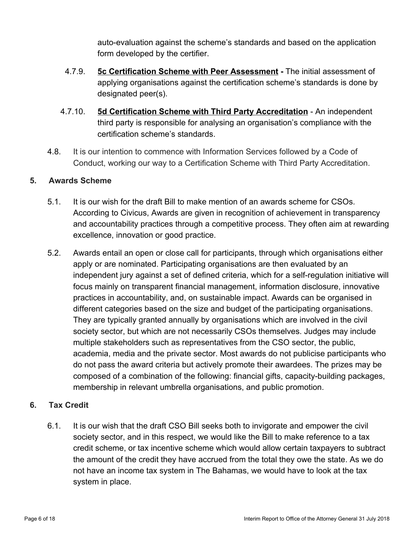auto-evaluation against the scheme's standards and based on the application form developed by the certifier.

- 4.7.9. **5c Certification Scheme with Peer Assessment** The initial assessment of applying organisations against the certification scheme's standards is done by designated peer(s).
- 4.7.10. **5d Certification Scheme with Third Party Accreditation** An independent third party is responsible for analysing an organisation's compliance with the certification scheme's standards.
- 4.8. It is our intention to commence with Information Services followed by a Code of Conduct, working our way to a Certification Scheme with Third Party Accreditation.

### **5. Awards Scheme**

- 5.1. It is our wish for the draft Bill to make mention of an awards scheme for CSOs. According to Civicus, Awards are given in recognition of achievement in transparency and accountability practices through a competitive process. They often aim at rewarding excellence, innovation or good practice.
- 5.2. Awards entail an open or close call for participants, through which organisations either apply or are nominated. Participating organisations are then evaluated by an independent jury against a set of defined criteria, which for a self-regulation initiative will focus mainly on transparent financial management, information disclosure, innovative practices in accountability, and, on sustainable impact. Awards can be organised in different categories based on the size and budget of the participating organisations. They are typically granted annually by organisations which are involved in the civil society sector, but which are not necessarily CSOs themselves. Judges may include multiple stakeholders such as representatives from the CSO sector, the public, academia, media and the private sector. Most awards do not publicise participants who do not pass the award criteria but actively promote their awardees. The prizes may be composed of a combination of the following: financial gifts, capacity-building packages, membership in relevant umbrella organisations, and public promotion.

### **6. Tax Credit**

6.1. It is our wish that the draft CSO Bill seeks both to invigorate and empower the civil society sector, and in this respect, we would like the Bill to make reference to a tax credit scheme, or tax incentive scheme which would allow certain taxpayers to subtract the amount of the credit they have accrued from the total they owe the state. As we do not have an income tax system in The Bahamas, we would have to look at the tax system in place.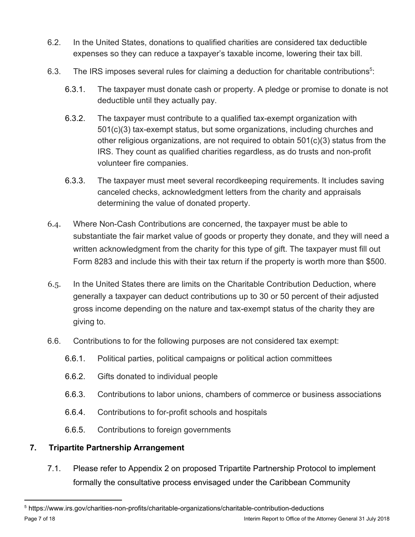- 6.2. In the United States, donations to qualified charities are considered tax deductible expenses so they can reduce a taxpayer's taxable income, lowering their tax bill.
- 6.3. The IRS imposes several rules for claiming a deduction for charitable contributions<sup>5</sup>:
	- 6.3.1. The taxpayer must donate cash or property. A pledge or promise to donate is not deductible until they actually pay.
	- 6.3.2. The taxpayer must contribute to a qualified tax-exempt organization with 501(c)(3) tax-exempt status, but some organizations, including churches and other religious organizations, are not required to obtain  $501(c)(3)$  status from the IRS. They count as qualified charities regardless, as do trusts and non-profit volunteer fire companies.
	- 6.3.3. The taxpayer must meet several recordkeeping requirements. It includes saving canceled checks, acknowledgment letters from the charity and appraisals determining the value of donated property.
- 6.4. Where Non-Cash Contributions are concerned, the taxpayer must be able to substantiate the fair market value of goods or property they donate, and they will need a written acknowledgment from the charity for this type of gift. The taxpayer must fill out Form 8283 and include this with their tax return if the property is worth more than \$500.
- 6.5. In the United States there are limits on the Charitable Contribution Deduction, where generally a taxpayer can deduct contributions up to 30 or 50 percent of their adjusted gross income depending on the nature and tax-exempt status of the charity they are giving to.
- 6.6. Contributions to for the following purposes are not considered tax exempt:
	- 6.6.1. Political parties, political campaigns or political action committees
	- 6.6.2. Gifts donated to individual people
	- 6.6.3. Contributions to labor unions, chambers of commerce or business associations
	- 6.6.4. Contributions to for-profit schools and hospitals
	- 6.6.5. Contributions to foreign governments

# **7. Tripartite Partnership Arrangement**

7.1. Please refer to Appendix 2 on proposed Tripartite Partnership Protocol to implement formally the consultative process envisaged under the Caribbean Community

<sup>5</sup> https://www.irs.gov/charities-non-profits/charitable-organizations/charitable-contribution-deductions Page 7 of 18 Interim Report to Office of the Attorney General 31 July 2018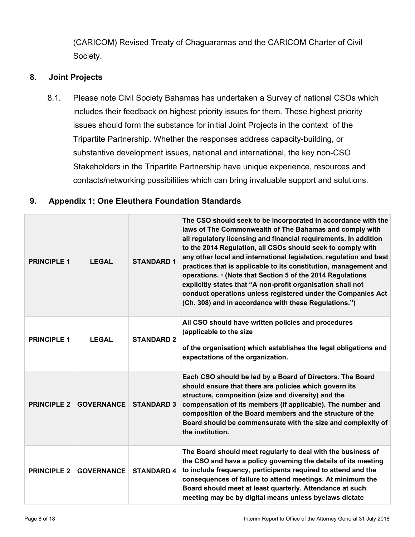(CARICOM) Revised Treaty of Chaguaramas and the CARICOM Charter of Civil Society.

### **8. Joint Projects**

8.1. Please note Civil Society Bahamas has undertaken a Survey of national CSOs which includes their feedback on highest priority issues for them. These highest priority issues should form the substance for initial Joint Projects in the context of the Tripartite Partnership. Whether the responses address capacity-building, or substantive development issues, national and international, the key non-CSO Stakeholders in the Tripartite Partnership have unique experience, resources and contacts/networking possibilities which can bring invaluable support and solutions.

### **9. Appendix 1: One Eleuthera Foundation Standards**

| <b>PRINCIPLE 1</b> | <b>LEGAL</b>      | <b>STANDARD 1</b> | The CSO should seek to be incorporated in accordance with the<br>laws of The Commonwealth of The Bahamas and comply with<br>all regulatory licensing and financial requirements. In addition<br>to the 2014 Regulation, all CSOs should seek to comply with<br>any other local and international legislation, regulation and best<br>practices that is applicable to its constitution, management and<br>operations. • (Note that Section 5 of the 2014 Regulations<br>explicitly states that "A non-profit organisation shall not<br>conduct operations unless registered under the Companies Act<br>(Ch. 308) and in accordance with these Regulations.") |
|--------------------|-------------------|-------------------|-------------------------------------------------------------------------------------------------------------------------------------------------------------------------------------------------------------------------------------------------------------------------------------------------------------------------------------------------------------------------------------------------------------------------------------------------------------------------------------------------------------------------------------------------------------------------------------------------------------------------------------------------------------|
| <b>PRINCIPLE 1</b> | <b>LEGAL</b>      | <b>STANDARD 2</b> | All CSO should have written policies and procedures<br>(applicable to the size<br>of the organisation) which establishes the legal obligations and<br>expectations of the organization.                                                                                                                                                                                                                                                                                                                                                                                                                                                                     |
| <b>PRINCIPLE 2</b> | <b>GOVERNANCE</b> | <b>STANDARD 3</b> | Each CSO should be led by a Board of Directors. The Board<br>should ensure that there are policies which govern its<br>structure, composition (size and diversity) and the<br>compensation of its members (if applicable). The number and<br>composition of the Board members and the structure of the<br>Board should be commensurate with the size and complexity of<br>the institution.                                                                                                                                                                                                                                                                  |
| <b>PRINCIPLE 2</b> | <b>GOVERNANCE</b> | <b>STANDARD 4</b> | The Board should meet regularly to deal with the business of<br>the CSO and have a policy governing the details of its meeting<br>to include frequency, participants required to attend and the<br>consequences of failure to attend meetings. At minimum the<br>Board should meet at least quarterly. Attendance at such<br>meeting may be by digital means unless byelaws dictate                                                                                                                                                                                                                                                                         |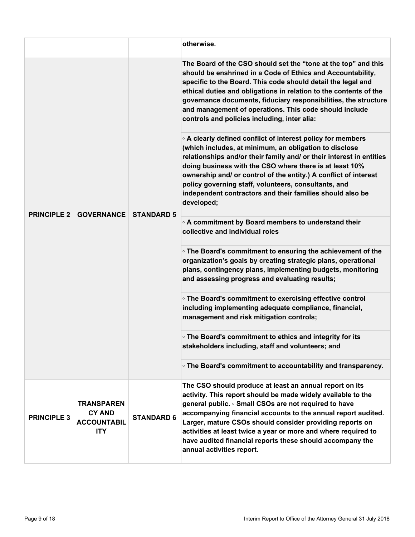|                                                                        |                   | otherwise.                                                                                                                                                                                                                                                                                                                                                                                                                                                                |
|------------------------------------------------------------------------|-------------------|---------------------------------------------------------------------------------------------------------------------------------------------------------------------------------------------------------------------------------------------------------------------------------------------------------------------------------------------------------------------------------------------------------------------------------------------------------------------------|
| <b>GOVERNANCE</b>                                                      | <b>STANDARD 5</b> | The Board of the CSO should set the "tone at the top" and this<br>should be enshrined in a Code of Ethics and Accountability,<br>specific to the Board. This code should detail the legal and<br>ethical duties and obligations in relation to the contents of the<br>governance documents, fiduciary responsibilities, the structure<br>and management of operations. This code should include<br>controls and policies including, inter alia:                           |
|                                                                        |                   | • A clearly defined conflict of interest policy for members<br>(which includes, at minimum, an obligation to disclose<br>relationships and/or their family and/ or their interest in entities<br>doing business with the CSO where there is at least 10%<br>ownership and/ or control of the entity.) A conflict of interest<br>policy governing staff, volunteers, consultants, and<br>independent contractors and their families should also be<br>developed;           |
|                                                                        |                   | ○ A commitment by Board members to understand their<br>collective and individual roles                                                                                                                                                                                                                                                                                                                                                                                    |
|                                                                        |                   | • The Board's commitment to ensuring the achievement of the<br>organization's goals by creating strategic plans, operational<br>plans, contingency plans, implementing budgets, monitoring<br>and assessing progress and evaluating results;                                                                                                                                                                                                                              |
|                                                                        |                   | • The Board's commitment to exercising effective control<br>including implementing adequate compliance, financial,<br>management and risk mitigation controls;                                                                                                                                                                                                                                                                                                            |
|                                                                        |                   | • The Board's commitment to ethics and integrity for its<br>stakeholders including, staff and volunteers; and                                                                                                                                                                                                                                                                                                                                                             |
|                                                                        |                   | • The Board's commitment to accountability and transparency.                                                                                                                                                                                                                                                                                                                                                                                                              |
| <b>TRANSPAREN</b><br><b>CY AND</b><br><b>ACCOUNTABIL</b><br><b>ITY</b> | <b>STANDARD 6</b> | The CSO should produce at least an annual report on its<br>activity. This report should be made widely available to the<br>general public. • Small CSOs are not required to have<br>accompanying financial accounts to the annual report audited.<br>Larger, mature CSOs should consider providing reports on<br>activities at least twice a year or more and where required to<br>have audited financial reports these should accompany the<br>annual activities report. |
|                                                                        |                   |                                                                                                                                                                                                                                                                                                                                                                                                                                                                           |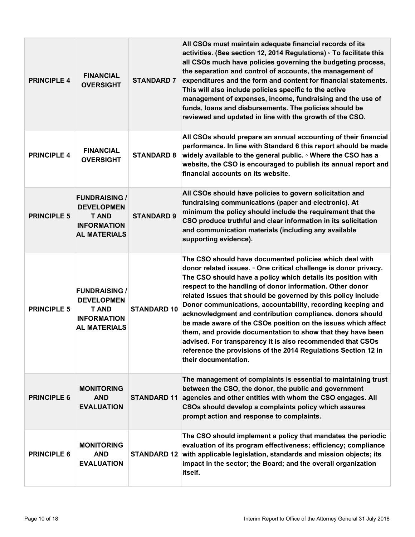| <b>PRINCIPLE 4</b> | <b>FINANCIAL</b><br><b>OVERSIGHT</b>                                                                   | <b>STANDARD 7</b>  | All CSOs must maintain adequate financial records of its<br>activities. (See section 12, 2014 Regulations) · To facilitate this<br>all CSOs much have policies governing the budgeting process,<br>the separation and control of accounts, the management of<br>expenditures and the form and content for financial statements.<br>This will also include policies specific to the active<br>management of expenses, income, fundraising and the use of<br>funds, loans and disbursements. The policies should be<br>reviewed and updated in line with the growth of the CSO.                                                                                                                                                                 |
|--------------------|--------------------------------------------------------------------------------------------------------|--------------------|-----------------------------------------------------------------------------------------------------------------------------------------------------------------------------------------------------------------------------------------------------------------------------------------------------------------------------------------------------------------------------------------------------------------------------------------------------------------------------------------------------------------------------------------------------------------------------------------------------------------------------------------------------------------------------------------------------------------------------------------------|
| <b>PRINCIPLE 4</b> | <b>FINANCIAL</b><br><b>OVERSIGHT</b>                                                                   | <b>STANDARD 8</b>  | All CSOs should prepare an annual accounting of their financial<br>performance. In line with Standard 6 this report should be made<br>widely available to the general public. • Where the CSO has a<br>website, the CSO is encouraged to publish its annual report and<br>financial accounts on its website.                                                                                                                                                                                                                                                                                                                                                                                                                                  |
| <b>PRINCIPLE 5</b> | <b>FUNDRAISING /</b><br><b>DEVELOPMEN</b><br><b>T AND</b><br><b>INFORMATION</b><br><b>AL MATERIALS</b> | <b>STANDARD 9</b>  | All CSOs should have policies to govern solicitation and<br>fundraising communications (paper and electronic). At<br>minimum the policy should include the requirement that the<br>CSO produce truthful and clear information in its solicitation<br>and communication materials (including any available<br>supporting evidence).                                                                                                                                                                                                                                                                                                                                                                                                            |
| <b>PRINCIPLE 5</b> | <b>FUNDRAISING /</b><br><b>DEVELOPMEN</b><br><b>T AND</b><br><b>INFORMATION</b><br><b>AL MATERIALS</b> | <b>STANDARD 10</b> | The CSO should have documented policies which deal with<br>donor related issues. • One critical challenge is donor privacy.<br>The CSO should have a policy which details its position with<br>respect to the handling of donor information. Other donor<br>related issues that should be governed by this policy include<br>Donor communications, accountability, recording keeping and<br>acknowledgment and contribution compliance. donors should<br>be made aware of the CSOs position on the issues which affect<br>them, and provide documentation to show that they have been<br>advised. For transparency it is also recommended that CSOs<br>reference the provisions of the 2014 Regulations Section 12 in<br>their documentation. |
| <b>PRINCIPLE 6</b> | <b>MONITORING</b><br><b>AND</b><br><b>EVALUATION</b>                                                   | <b>STANDARD 11</b> | The management of complaints is essential to maintaining trust<br>between the CSO, the donor, the public and government<br>agencies and other entities with whom the CSO engages. All<br>CSOs should develop a complaints policy which assures<br>prompt action and response to complaints.                                                                                                                                                                                                                                                                                                                                                                                                                                                   |
| <b>PRINCIPLE 6</b> | <b>MONITORING</b><br><b>AND</b><br><b>EVALUATION</b>                                                   | <b>STANDARD 12</b> | The CSO should implement a policy that mandates the periodic<br>evaluation of its program effectiveness; efficiency; compliance<br>with applicable legislation, standards and mission objects; its<br>impact in the sector; the Board; and the overall organization<br>itself.                                                                                                                                                                                                                                                                                                                                                                                                                                                                |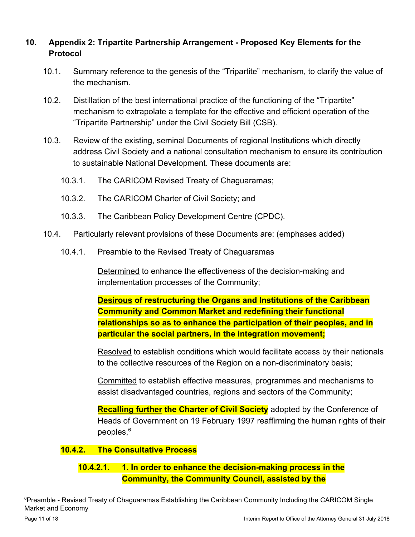# **10. Appendix 2: Tripartite Partnership Arrangement - Proposed Key Elements for the Protocol**

- 10.1. Summary reference to the genesis of the "Tripartite" mechanism, to clarify the value of the mechanism.
- 10.2. Distillation of the best international practice of the functioning of the "Tripartite" mechanism to extrapolate a template for the effective and efficient operation of the "Tripartite Partnership" under the Civil Society Bill (CSB).
- 10.3. Review of the existing, seminal Documents of regional Institutions which directly address Civil Society and a national consultation mechanism to ensure its contribution to sustainable National Development. These documents are:
	- 10.3.1. The CARICOM Revised Treaty of Chaguaramas;
	- 10.3.2. The CARICOM Charter of Civil Society; and
	- 10.3.3. The Caribbean Policy Development Centre (CPDC).
- 10.4. Particularly relevant provisions of these Documents are: (emphases added)
	- 10.4.1. Preamble to the Revised Treaty of Chaguaramas

Determined to enhance the effectiveness of the decision-making and implementation processes of the Community;

**Desirous of restructuring the Organs and Institutions of the Caribbean Community and Common Market and redefining their functional relationships so as to enhance the participation of their peoples, and in particular the social partners, in the integration movement;**

Resolved to establish conditions which would facilitate access by their nationals to the collective resources of the Region on a non-discriminatory basis;

Committed to establish effective measures, programmes and mechanisms to assist disadvantaged countries, regions and sectors of the Community;

**Recalling further the Charter of Civil Society** adopted by the Conference of Heads of Government on 19 February 1997 reaffirming the human rights of their peoples,<sup>6</sup>

### **10.4.2. The Consultative Process**

# **10.4.2.1. 1. In order to enhance the decision-making process in the Community, the Community Council, assisted by the**

<sup>&</sup>lt;sup>6</sup>Preamble - Revised Treaty of Chaguaramas Establishing the Caribbean Community Including the CARICOM Single Market and Economy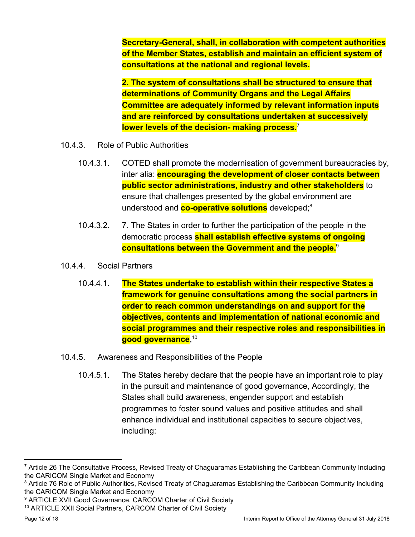**Secretary-General, shall, in collaboration with competent authorities of the Member States, establish and maintain an efficient system of consultations at the national and regional levels.**

**2. The system of consultations shall be structured to ensure that determinations of Community Organs and the Legal Affairs Committee are adequately informed by relevant information inputs and are reinforced by consultations undertaken at successively lower levels of the decision- making process.<sup>7</sup>**

- 10.4.3. Role of Public Authorities
	- 10.4.3.1. COTED shall promote the modernisation of government bureaucracies by, inter alia: **encouraging the development of closer contacts between public sector administrations, industry and other stakeholders** to ensure that challenges presented by the global environment are understood and **co-operative solutions** developed;<sup>8</sup>
	- 10.4.3.2. 7. The States in order to further the participation of the people in the democratic process **shall establish effective systems of ongoing consultations between the Government and the people.**<sup>9</sup>
- 10.4.4. Social Partners
	- 10.4.4.1. **The States undertake to establish within their respective States a framework for genuine consultations among the social partners in order to reach common understandings on and support for the objectives, contents and implementation of national economic and social programmes and their respective roles and responsibilities in good governance**, 10
- 10.4.5. Awareness and Responsibilities of the People
	- 10.4.5.1. The States hereby declare that the people have an important role to play in the pursuit and maintenance of good governance, Accordingly, the States shall build awareness, engender support and establish programmes to foster sound values and positive attitudes and shall enhance individual and institutional capacities to secure objectives, including:

<sup>7</sup> Article 26 The Consultative Process, Revised Treaty of Chaguaramas Establishing the Caribbean Community Including the CARICOM Single Market and Economy

<sup>&</sup>lt;sup>8</sup> Article 76 Role of Public Authorities, Revised Treaty of Chaguaramas Establishing the Caribbean Community Including the CARICOM Single Market and Economy

<sup>&</sup>lt;sup>9</sup> ARTICLE XVII Good Governance, CARCOM Charter of Civil Society

<sup>10</sup> ARTICLE XXII Social Partners, CARCOM Charter of Civil Society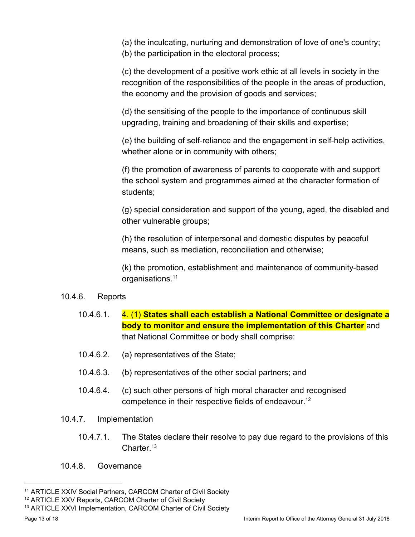(a) the inculcating, nurturing and demonstration of love of one's country;

(b) the participation in the electoral process;

(c) the development of a positive work ethic at all levels in society in the recognition of the responsibilities of the people in the areas of production, the economy and the provision of goods and services;

(d) the sensitising of the people to the importance of continuous skill upgrading, training and broadening of their skills and expertise;

(e) the building of self-reliance and the engagement in self-help activities, whether alone or in community with others;

(f) the promotion of awareness of parents to cooperate with and support the school system and programmes aimed at the character formation of students;

(g) special consideration and support of the young, aged, the disabled and other vulnerable groups;

(h) the resolution of interpersonal and domestic disputes by peaceful means, such as mediation, reconciliation and otherwise;

(k) the promotion, establishment and maintenance of community-based organisations.<sup>11</sup>

### 10.4.6. Reports

- 10.4.6.1. 4. (1) **States shall each establish a National Committee or designate a body to monitor and ensure the implementation of this Charter** and that National Committee or body shall comprise:
- 10.4.6.2. (a) representatives of the State;
- 10.4.6.3. (b) representatives of the other social partners; and
- 10.4.6.4. (c) such other persons of high moral character and recognised competence in their respective fields of endeavour.<sup>12</sup>
- 10.4.7. Implementation
	- 10.4.7.1. The States declare their resolve to pay due regard to the provisions of this Charter.<sup>13</sup>
- 10.4.8. Governance

<sup>11</sup> ARTICLE XXIV Social Partners, CARCOM Charter of Civil Society

<sup>&</sup>lt;sup>12</sup> ARTICLE XXV Reports, CARCOM Charter of Civil Society

<sup>13</sup> ARTICLE XXVI Implementation, CARCOM Charter of Civil Society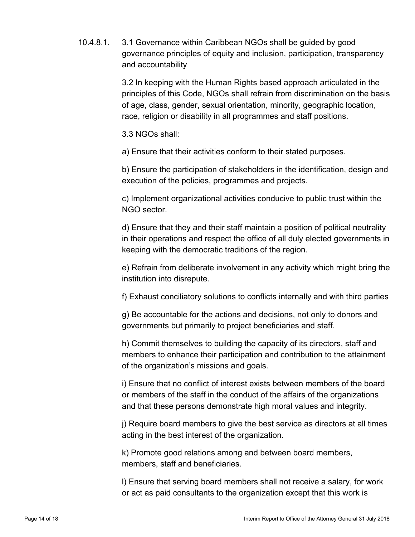10.4.8.1. 3.1 Governance within Caribbean NGOs shall be guided by good governance principles of equity and inclusion, participation, transparency and accountability

> 3.2 In keeping with the Human Rights based approach articulated in the principles of this Code, NGOs shall refrain from discrimination on the basis of age, class, gender, sexual orientation, minority, geographic location, race, religion or disability in all programmes and staff positions.

3.3 NGOs shall:

a) Ensure that their activities conform to their stated purposes.

b) Ensure the participation of stakeholders in the identification, design and execution of the policies, programmes and projects.

c) Implement organizational activities conducive to public trust within the NGO sector.

d) Ensure that they and their staff maintain a position of political neutrality in their operations and respect the office of all duly elected governments in keeping with the democratic traditions of the region.

e) Refrain from deliberate involvement in any activity which might bring the institution into disrepute.

f) Exhaust conciliatory solutions to conflicts internally and with third parties

g) Be accountable for the actions and decisions, not only to donors and governments but primarily to project beneficiaries and staff.

h) Commit themselves to building the capacity of its directors, staff and members to enhance their participation and contribution to the attainment of the organization's missions and goals.

i) Ensure that no conflict of interest exists between members of the board or members of the staff in the conduct of the affairs of the organizations and that these persons demonstrate high moral values and integrity.

j) Require board members to give the best service as directors at all times acting in the best interest of the organization.

k) Promote good relations among and between board members, members, staff and beneficiaries.

l) Ensure that serving board members shall not receive a salary, for work or act as paid consultants to the organization except that this work is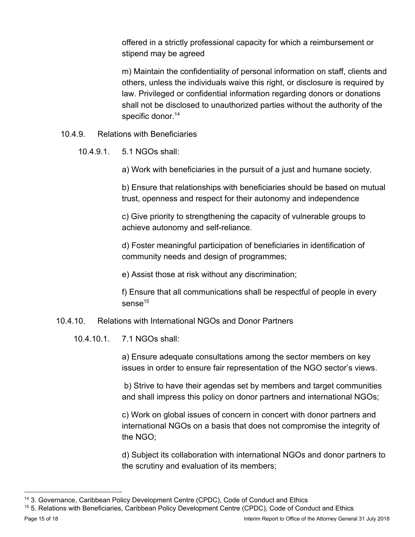offered in a strictly professional capacity for which a reimbursement or stipend may be agreed

m) Maintain the confidentiality of personal information on staff, clients and others, unless the individuals waive this right, or disclosure is required by law. Privileged or confidential information regarding donors or donations shall not be disclosed to unauthorized parties without the authority of the specific donor.<sup>14</sup>

- 10.4.9. Relations with Beneficiaries
	- 10.4.9.1. 5.1 NGOs shall:

a) Work with beneficiaries in the pursuit of a just and humane society.

b) Ensure that relationships with beneficiaries should be based on mutual trust, openness and respect for their autonomy and independence

c) Give priority to strengthening the capacity of vulnerable groups to achieve autonomy and self-reliance.

d) Foster meaningful participation of beneficiaries in identification of community needs and design of programmes;

e) Assist those at risk without any discrimination;

f) Ensure that all communications shall be respectful of people in every sense $15$ 

### 10.4.10. Relations with International NGOs and Donor Partners

10.4.10.1. 7.1 NGOs shall:

a) Ensure adequate consultations among the sector members on key issues in order to ensure fair representation of the NGO sector's views.

 b) Strive to have their agendas set by members and target communities and shall impress this policy on donor partners and international NGOs;

c) Work on global issues of concern in concert with donor partners and international NGOs on a basis that does not compromise the integrity of the NGO;

d) Subject its collaboration with international NGOs and donor partners to the scrutiny and evaluation of its members;

<sup>&</sup>lt;sup>14</sup> 3. Governance, Caribbean Policy Development Centre (CPDC), Code of Conduct and Ethics

<sup>15</sup> 5. Relations with Beneficiaries, Caribbean Policy Development Centre (CPDC), Code of Conduct and Ethics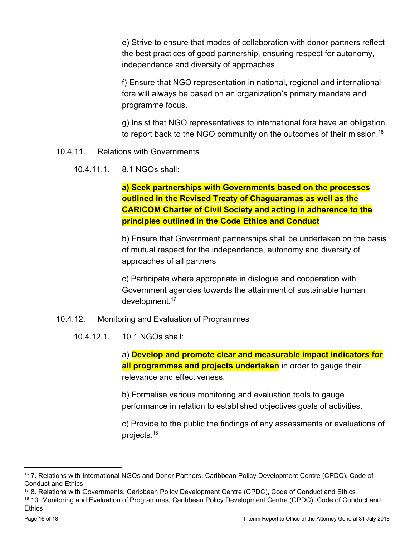e) Strive to ensure that modes of collaboration with donor partners reflect the best practices of good partnership, ensuring respect for autonomy, independence and diversity of approaches

f) Ensure that NGO representation in national, regional and international fora will always be based on an organization's primary mandate and programme focus.

g) Insist that NGO representatives to international fora have an obligation to report back to the NGO community on the outcomes of their mission.<sup>16</sup>

- 10.4.11. Relations with Governments
	- 10.4.11.1. 8.1 NGOs shall:

**a) Seek partnerships with Governments based on the processes outlined in the Revised Treaty of Chaguaramas as well as the CARICOM Charter of Civil Society and acting in adherence to the principles outlined in the Code Ethics and Conduct**

b) Ensure that Government partnerships shall be undertaken on the basis of mutual respect for the independence, autonomy and diversity of approaches of all partners

c) Participate where appropriate in dialogue and cooperation with Government agencies towards the attainment of sustainable human development.<sup>17</sup>

- 10.4.12. Monitoring and Evaluation of Programmes
	- 10.4.12.1. 10.1 NGOs shall:

a) **Develop and promote clear and measurable impact indicators for all programmes and projects undertaken** in order to gauge their relevance and effectiveness.

b) Formalise various monitoring and evaluation tools to gauge performance in relation to established objectives goals of activities.

c) Provide to the public the findings of any assessments or evaluations of projects.<sup>18</sup>

<sup>16</sup> 7. Relations with International NGOs and Donor Partners, Caribbean Policy Development Centre (CPDC), Code of Conduct and Ethics

<sup>17</sup> 8. Relations with Governments, Caribbean Policy Development Centre (CPDC), Code of Conduct and Ethics 18 10. Monitoring and Evaluation of Programmes, Caribbean Policy Development Centre (CPDC), Code of Conduct and Ethics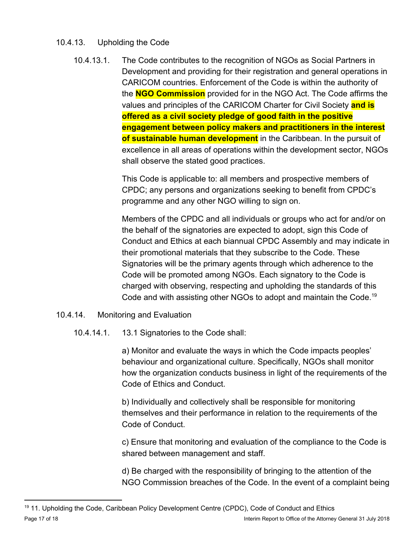# 10.4.13. Upholding the Code

10.4.13.1. The Code contributes to the recognition of NGOs as Social Partners in Development and providing for their registration and general operations in CARICOM countries. Enforcement of the Code is within the authority of the **NGO Commission** provided for in the NGO Act. The Code affirms the values and principles of the CARICOM Charter for Civil Society **and is offered as a civil society pledge of good faith in the positive engagement between policy makers and practitioners in the interest of sustainable human development** in the Caribbean. In the pursuit of excellence in all areas of operations within the development sector, NGOs shall observe the stated good practices.

> This Code is applicable to: all members and prospective members of CPDC; any persons and organizations seeking to benefit from CPDC's programme and any other NGO willing to sign on.

Members of the CPDC and all individuals or groups who act for and/or on the behalf of the signatories are expected to adopt, sign this Code of Conduct and Ethics at each biannual CPDC Assembly and may indicate in their promotional materials that they subscribe to the Code. These Signatories will be the primary agents through which adherence to the Code will be promoted among NGOs. Each signatory to the Code is charged with observing, respecting and upholding the standards of this Code and with assisting other NGOs to adopt and maintain the Code.<sup>19</sup>

- 10.4.14. Monitoring and Evaluation
	- 10.4.14.1. 13.1 Signatories to the Code shall:

a) Monitor and evaluate the ways in which the Code impacts peoples' behaviour and organizational culture. Specifically, NGOs shall monitor how the organization conducts business in light of the requirements of the Code of Ethics and Conduct.

b) Individually and collectively shall be responsible for monitoring themselves and their performance in relation to the requirements of the Code of Conduct.

c) Ensure that monitoring and evaluation of the compliance to the Code is shared between management and staff.

d) Be charged with the responsibility of bringing to the attention of the NGO Commission breaches of the Code. In the event of a complaint being

<sup>&</sup>lt;sup>19</sup> 11. Upholding the Code, Caribbean Policy Development Centre (CPDC), Code of Conduct and Ethics Page 17 of 18 Interim Report to Office of the Attorney General 31 July 2018